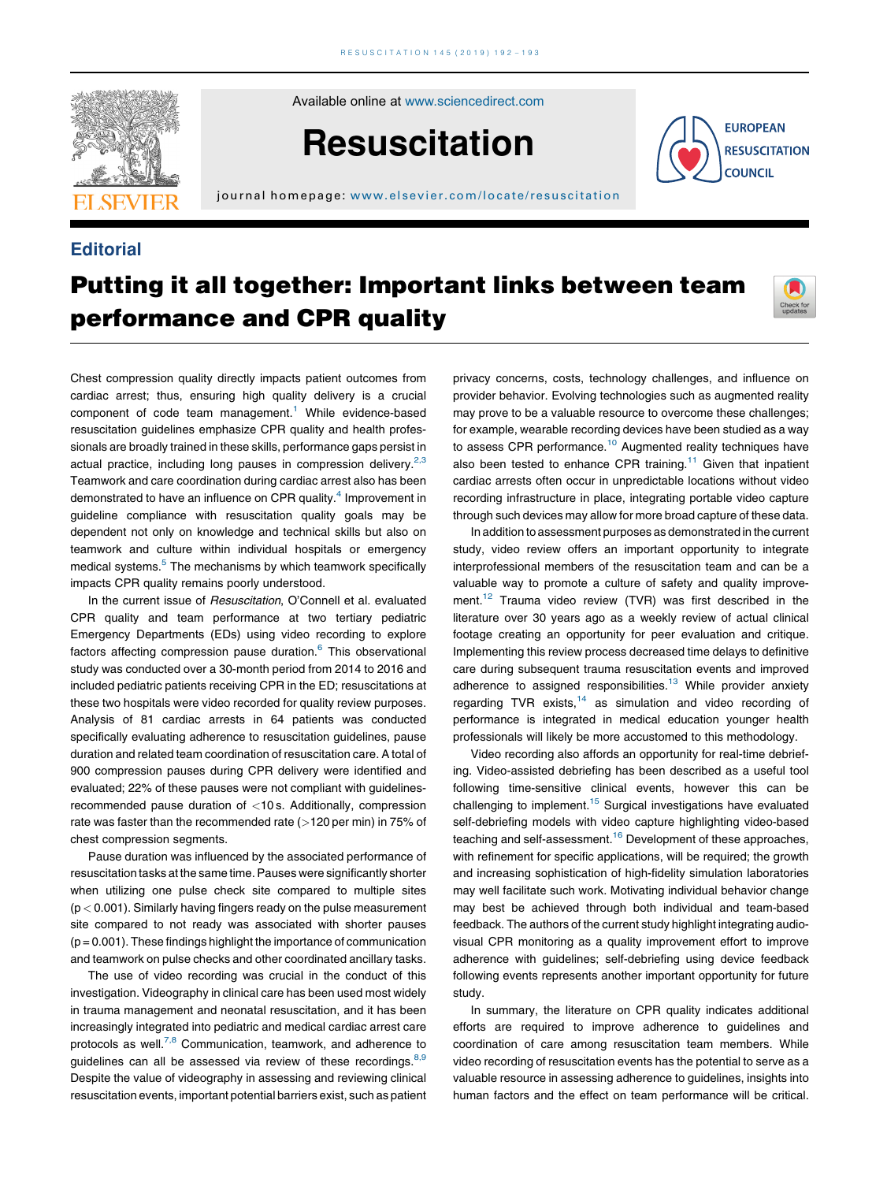

Available online at [www.sciencedirect.com](http://www.sciencedirect.com/science/journal/03009572)

# **Resuscitation**

journal homepage: [www.elsevier.com/locate/resus c](www.elsevier.com/locate/resuscitation) itation

### **Editorial**



## Putting it all together: Important links between team performance and CPR quality



Chest compression quality directly impacts patient outcomes from cardiac arrest; thus, ensuring high quality delivery is a crucial component of code team management.<sup>[1](#page-1-0)</sup> While evidence-based resuscitation guidelines emphasize CPR quality and health professionals are broadly trained in these skills, performance gaps persist in actual practice, including long pauses in compression delivery.<sup>[2,3](#page-1-0)</sup> Teamwork and care coordination during cardiac arrest also has been demonstrated to have an influence on CPR quality.<sup>[4](#page-1-0)</sup> Improvement in guideline compliance with resuscitation quality goals may be dependent not only on knowledge and technical skills but also on teamwork and culture within individual hospitals or emergency medical systems.<sup>[5](#page-1-0)</sup> The mechanisms by which teamwork specifically impacts CPR quality remains poorly understood.

In the current issue of Resuscitation, O'Connell et al. evaluated CPR quality and team performance at two tertiary pediatric Emergency Departments (EDs) using video recording to explore factors affecting compression pause duration.<sup>6</sup> This observational study was conducted over a 30-month period from 2014 to 2016 and included pediatric patients receiving CPR in the ED; resuscitations at these two hospitals were video recorded for quality review purposes. Analysis of 81 cardiac arrests in 64 patients was conducted specifically evaluating adherence to resuscitation guidelines, pause duration and related team coordination of resuscitation care. A total of 900 compression pauses during CPR delivery were identified and evaluated; 22% of these pauses were not compliant with guidelinesrecommended pause duration of <10 s. Additionally, compression rate was faster than the recommended rate (>120 per min) in 75% of chest compression segments.

Pause duration was influenced by the associated performance of resuscitation tasks at the same time. Pauses were significantly shorter when utilizing one pulse check site compared to multiple sites  $(p < 0.001)$ . Similarly having fingers ready on the pulse measurement site compared to not ready was associated with shorter pauses  $(p = 0.001)$ . These findings highlight the importance of communication and teamwork on pulse checks and other coordinated ancillary tasks.

The use of video recording was crucial in the conduct of this investigation. Videography in clinical care has been used most widely in trauma management and neonatal resuscitation, and it has been increasingly integrated into pediatric and medical cardiac arrest care protocols as well.<sup>7,8</sup> [Communication,](#page-1-0) teamwork, and adherence to guidelines can all be assessed via review of these recordings.  $8,9$ Despite the value of videography in assessing and reviewing clinical resuscitation events, important potential barriers exist, such as patient

privacy concerns, costs, technology challenges, and influence on provider behavior. Evolving technologies such as augmented reality may prove to be a valuable resource to overcome these challenges; for example, wearable recording devices have been studied as a way to assess CPR performance.<sup>[10](#page-1-0)</sup> Augmented reality techniques have also been tested to enhance CPR training.<sup>[11](#page-1-0)</sup> Given that inpatient cardiac arrests often occur in unpredictable locations without video recording infrastructure in place, integrating portable video capture through such devices may allow for more broad capture of these data.

In addition to assessment purposes as demonstrated in the current study, video review offers an important opportunity to integrate interprofessional members of the resuscitation team and can be a valuable way to promote a culture of safety and quality improve-ment.<sup>[12](#page-1-0)</sup> Trauma video review (TVR) was first described in the literature over 30 years ago as a weekly review of actual clinical footage creating an opportunity for peer evaluation and critique. Implementing this review process decreased time delays to definitive care during subsequent trauma resuscitation events and improved adherence to assigned responsibilities.<sup>[13](#page-1-0)</sup> While provider anxiety regarding TVR exists, $14$  as simulation and video recording of performance is integrated in medical education younger health professionals will likely be more accustomed to this methodology.

Video recording also affords an opportunity for real-time debriefing. Video-assisted debriefing has been described as a useful tool following time-sensitive clinical events, however this can be challenging to implement.<sup>15</sup> Surgical investigations have evaluated self-debriefing models with video capture highlighting video-based teaching and self-assessment.<sup>[16](#page-1-0)</sup> Development of these approaches, with refinement for specific applications, will be required; the growth and increasing sophistication of high-fidelity simulation laboratories may well facilitate such work. Motivating individual behavior change may best be achieved through both individual and team-based feedback. The authors of the current study highlight integrating audiovisual CPR monitoring as a quality improvement effort to improve adherence with guidelines; self-debriefing using device feedback following events represents another important opportunity for future study.

In summary, the literature on CPR quality indicates additional efforts are required to improve adherence to guidelines and coordination of care among resuscitation team members. While video recording of resuscitation events has the potential to serve as a valuable resource in assessing adherence to guidelines, insights into human factors and the effect on team performance will be critical.